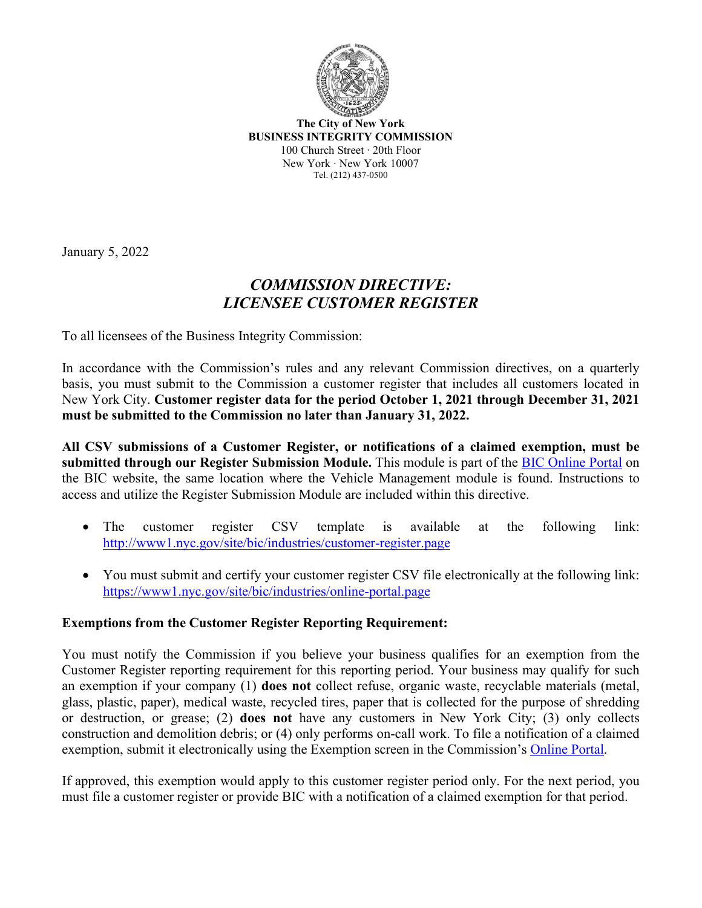

**The City of New York BUSINESS INTEGRITY COMMISSION** 100 Church Street ∙ 20th Floor New York ∙ New York 10007 Tel. (212) 437-0500

January 5, 2022

## *COMMISSION DIRECTIVE: LICENSEE CUSTOMER REGISTER*

To all licensees of the Business Integrity Commission:

In accordance with the Commission's rules and any relevant Commission directives, on a quarterly basis, you must submit to the Commission a customer register that includes all customers located in New York City. **Customer register data for the period October 1, 2021 through December 31, 2021 must be submitted to the Commission no later than January 31, 2022.**

**All CSV submissions of a Customer Register, or notifications of a claimed exemption, must be submitted through our Register Submission Module.** This module is part of the [BIC Online Portal](https://www1.nyc.gov/site/bic/industries/online-portal.page) on the BIC website, the same location where the Vehicle Management module is found. Instructions to access and utilize the Register Submission Module are included within this directive.

- The customer register CSV template is available at the following link: [http://www1.nyc.gov/site/bic/industries/customer](http://www1.nyc.gov/site/bic/industries/customer-register.page)-register.page
- You must submit and certify your customer register CSV file electronically at the following link: [https://www1.nyc.gov/site/bic/industries/online](https://www1.nyc.gov/site/bic/industries/online-portal.page)-portal.page

## **Exemptions from the Customer Register Reporting Requirement:**

You must notify the Commission if you believe your business qualifies for an exemption from the Customer Register reporting requirement for this reporting period. Your business may qualify for such an exemption if your company (1) **does not** collect refuse, organic waste, recyclable materials (metal, glass, plastic, paper), medical waste, recycled tires, paper that is collected for the purpose of shredding or destruction, or grease; (2) **does not** have any customers in New York City; (3) only collects construction and demolition debris; or (4) only performs on-call work. To file a notification of a claimed exemption, submit it electronically using the Exemption screen in the Commission's [Online Portal.](https://www1.nyc.gov/site/bic/industries/online-portal.page)

If approved, this exemption would apply to this customer register period only. For the next period, you must file a customer register or provide BIC with a notification of a claimed exemption for that period.